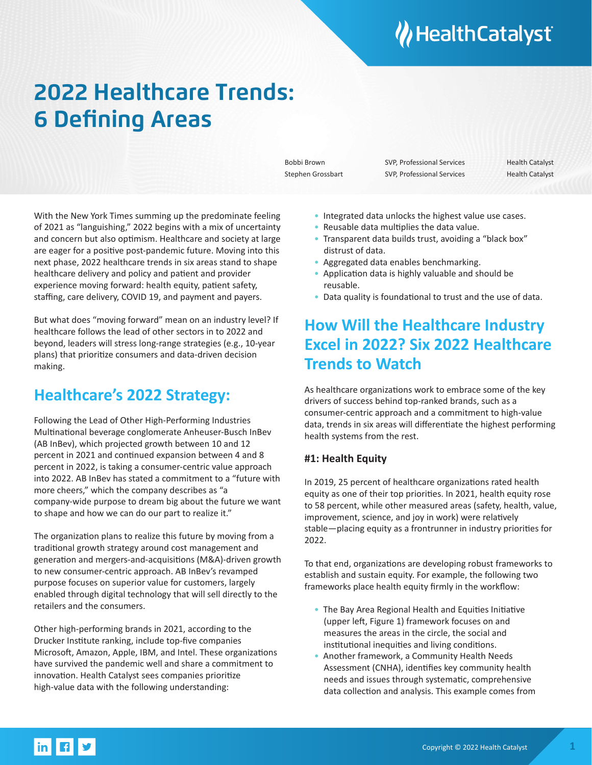# **W** Health Catalyst

## **2022 Healthcare Trends: 6 Defining Areas**

Bobbi Brown SVP, Professional Services Health Catalyst Stephen Grossbart SVP, Professional Services Health Catalyst

With the New York Times summing up the predominate feeling of 2021 as "languishing," 2022 begins with a mix of uncertainty and concern but also optimism. Healthcare and society at large are eager for a positive post-pandemic future. Moving into this next phase, 2022 healthcare trends in six areas stand to shape healthcare delivery and policy and patient and provider experience moving forward: health equity, patient safety, staffing, care delivery, COVID 19, and payment and payers.

But what does "moving forward" mean on an industry level? If healthcare follows the lead of other sectors in to 2022 and beyond, leaders will stress long-range strategies (e.g., 10-year plans) that prioritize consumers and data-driven decision making.

## **Healthcare's 2022 Strategy:**

Following the Lead of Other High-Performing Industries Multinational beverage conglomerate Anheuser-Busch InBev (AB InBev), which projected growth between 10 and 12 percent in 2021 and continued expansion between 4 and 8 percent in 2022, is taking a consumer-centric value approach into 2022. AB InBev has stated a commitment to a "future with more cheers," which the company describes as "a company-wide purpose to dream big about the future we want to shape and how we can do our part to realize it."

The organization plans to realize this future by moving from a traditional growth strategy around cost management and generation and mergers-and-acquisitions (M&A)-driven growth to new consumer-centric approach. AB InBev's revamped purpose focuses on superior value for customers, largely enabled through digital technology that will sell directly to the retailers and the consumers.

Other high-performing brands in 2021, according to the Drucker Institute ranking, include top-five companies Microsoft, Amazon, Apple, IBM, and Intel. These organizations have survived the pandemic well and share a commitment to innovation. Health Catalyst sees companies prioritize high-value data with the following understanding:

- Integrated data unlocks the highest value use cases.
- Reusable data multiplies the data value.
- Transparent data builds trust, avoiding a "black box" distrust of data.
- Aggregated data enables benchmarking.
- Application data is highly valuable and should be reusable.
- Data quality is foundational to trust and the use of data.

## **How Will the Healthcare Industry Excel in 2022? Six 2022 Healthcare Trends to Watch**

As healthcare organizations work to embrace some of the key drivers of success behind top-ranked brands, such as a consumer-centric approach and a commitment to high-value data, trends in six areas will differentiate the highest performing health systems from the rest.

#### **#1: Health Equity**

In 2019, 25 percent of healthcare organizations rated health equity as one of their top priorities. In 2021, health equity rose to 58 percent, while other measured areas (safety, health, value, improvement, science, and joy in work) were relatively stable—placing equity as a frontrunner in industry priorities for 2022.

To that end, organizations are developing robust frameworks to establish and sustain equity. For example, the following two frameworks place health equity firmly in the workflow:

- The Bay Area Regional Health and Equities Initiative (upper left, Figure 1) framework focuses on and measures the areas in the circle, the social and institutional inequities and living conditions.
- Another framework, a Community Health Needs Assessment (CNHA), identifies key community health needs and issues through systematic, comprehensive data collection and analysis. This example comes from

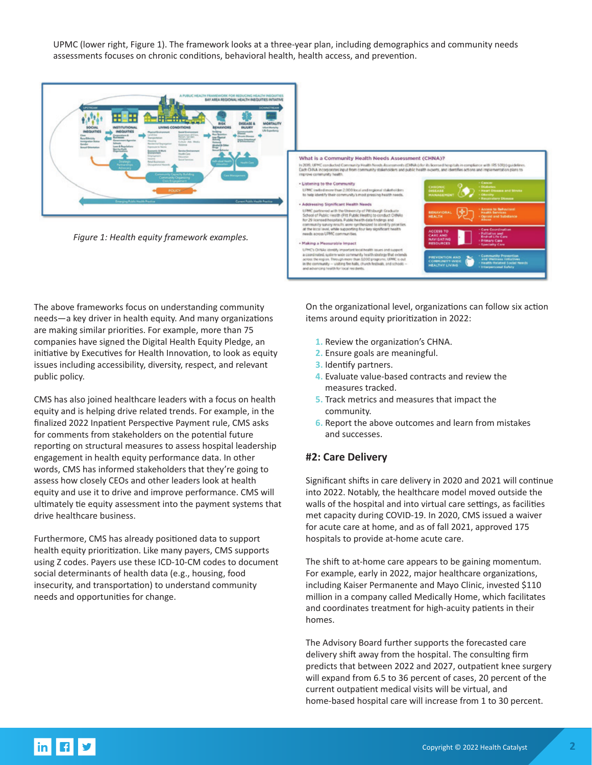UPMC (lower right, Figure 1). The framework looks at a three-year plan, including demographics and community needs assessments focuses on chronic conditions, behavioral health, health access, and prevention.



*Figure 1: Health equity framework examples.*



The above frameworks focus on understanding community needs—a key driver in health equity. And many organizations are making similar priorities. For example, more than 75 companies have signed the Digital Health Equity Pledge, an initiative by Executives for Health Innovation, to look as equity issues including accessibility, diversity, respect, and relevant public policy.

CMS has also joined healthcare leaders with a focus on health equity and is helping drive related trends. For example, in the finalized 2022 Inpatient Perspective Payment rule, CMS asks for comments from stakeholders on the potential future reporting on structural measures to assess hospital leadership engagement in health equity performance data. In other words, CMS has informed stakeholders that they're going to assess how closely CEOs and other leaders look at health equity and use it to drive and improve performance. CMS will ultimately tie equity assessment into the payment systems that drive healthcare business.

Furthermore, CMS has already positioned data to support health equity prioritization. Like many payers, CMS supports using Z codes. Payers use these ICD-10-CM codes to document social determinants of health data (e.g., housing, food insecurity, and transportation) to understand community needs and opportunities for change.

On the organizational level, organizations can follow six action items around equity prioritization in 2022:

- **1.** Review the organization's CHNA.
- **2.** Ensure goals are meaningful.
- **3.** Identify partners.
- **4.** Evaluate value-based contracts and review the measures tracked.
- **5.** Track metrics and measures that impact the community.
- **6.** Report the above outcomes and learn from mistakes and successes.

#### **#2: Care Delivery**

Significant shifts in care delivery in 2020 and 2021 will continue into 2022. Notably, the healthcare model moved outside the walls of the hospital and into virtual care settings, as facilities met capacity during COVID-19. In 2020, CMS issued a waiver for acute care at home, and as of fall 2021, approved 175 hospitals to provide at-home acute care.

The shift to at-home care appears to be gaining momentum. For example, early in 2022, major healthcare organizations, including Kaiser Permanente and Mayo Clinic, invested \$110 million in a company called Medically Home, which facilitates and coordinates treatment for high-acuity patients in their homes.

The Advisory Board further supports the forecasted care delivery shift away from the hospital. The consulting firm predicts that between 2022 and 2027, outpatient knee surgery will expand from 6.5 to 36 percent of cases, 20 percent of the current outpatient medical visits will be virtual, and home-based hospital care will increase from 1 to 30 percent.

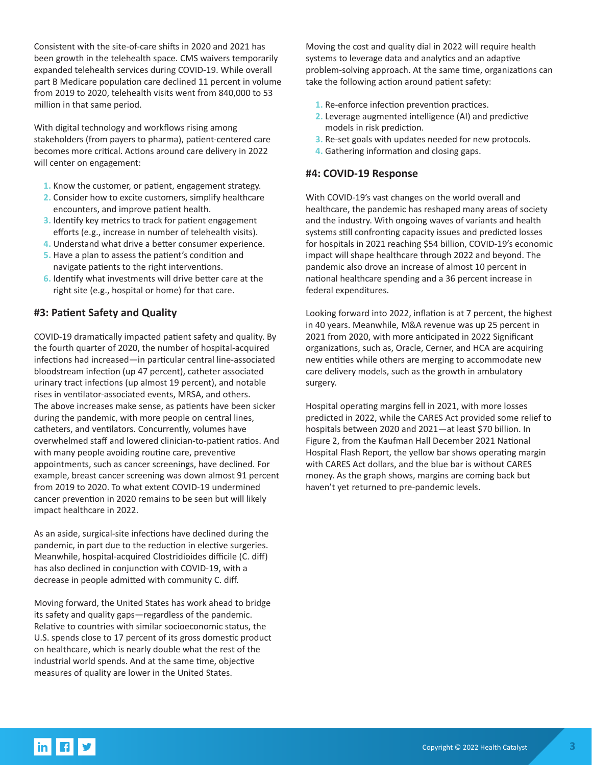Consistent with the site-of-care shifts in 2020 and 2021 has been growth in the telehealth space. CMS waivers temporarily expanded telehealth services during COVID-19. While overall part B Medicare population care declined 11 percent in volume from 2019 to 2020, telehealth visits went from 840,000 to 53 million in that same period.

With digital technology and workflows rising among stakeholders (from payers to pharma), patient-centered care becomes more critical. Actions around care delivery in 2022 will center on engagement:

- **1.** Know the customer, or patient, engagement strategy.
- **2.** Consider how to excite customers, simplify healthcare encounters, and improve patient health.
- **3.** Identify key metrics to track for patient engagement efforts (e.g., increase in number of telehealth visits).
- **4.** Understand what drive a better consumer experience.
- **5.** Have a plan to assess the patient's condition and navigate patients to the right interventions.
- **6.** Identify what investments will drive better care at the right site (e.g., hospital or home) for that care.

#### **#3: Patient Safety and Quality**

COVID-19 dramatically impacted patient safety and quality. By the fourth quarter of 2020, the number of hospital-acquired infections had increased—in particular central line-associated bloodstream infection (up 47 percent), catheter associated urinary tract infections (up almost 19 percent), and notable rises in ventilator-associated events, MRSA, and others. The above increases make sense, as patients have been sicker during the pandemic, with more people on central lines, catheters, and ventilators. Concurrently, volumes have overwhelmed staff and lowered clinician-to-patient ratios. And with many people avoiding routine care, preventive appointments, such as cancer screenings, have declined. For example, breast cancer screening was down almost 91 percent from 2019 to 2020. To what extent COVID-19 undermined cancer prevention in 2020 remains to be seen but will likely impact healthcare in 2022.

As an aside, surgical-site infections have declined during the pandemic, in part due to the reduction in elective surgeries. Meanwhile, hospital-acquired Clostridioides difficile (C. diff) has also declined in conjunction with COVID-19, with a decrease in people admitted with community C. diff.

Moving forward, the United States has work ahead to bridge its safety and quality gaps—regardless of the pandemic. Relative to countries with similar socioeconomic status, the U.S. spends close to 17 percent of its gross domestic product on healthcare, which is nearly double what the rest of the industrial world spends. And at the same time, objective measures of quality are lower in the United States.

Moving the cost and quality dial in 2022 will require health systems to leverage data and analytics and an adaptive problem-solving approach. At the same time, organizations can take the following action around patient safety:

- **1.** Re-enforce infection prevention practices.
- **2.** Leverage augmented intelligence (AI) and predictive models in risk prediction.
- **3.** Re-set goals with updates needed for new protocols.
- **4.** Gathering information and closing gaps.

#### **#4: COVID-19 Response**

With COVID-19's vast changes on the world overall and healthcare, the pandemic has reshaped many areas of society and the industry. With ongoing waves of variants and health systems still confronting capacity issues and predicted losses for hospitals in 2021 reaching \$54 billion, COVID-19's economic impact will shape healthcare through 2022 and beyond. The pandemic also drove an increase of almost 10 percent in national healthcare spending and a 36 percent increase in federal expenditures.

Looking forward into 2022, inflation is at 7 percent, the highest in 40 years. Meanwhile, M&A revenue was up 25 percent in 2021 from 2020, with more anticipated in 2022 Significant organizations, such as, Oracle, Cerner, and HCA are acquiring new entities while others are merging to accommodate new care delivery models, such as the growth in ambulatory surgery.

Hospital operating margins fell in 2021, with more losses predicted in 2022, while the CARES Act provided some relief to hospitals between 2020 and 2021—at least \$70 billion. In Figure 2, from the Kaufman Hall December 2021 National Hospital Flash Report, the yellow bar shows operating margin with CARES Act dollars, and the blue bar is without CARES money. As the graph shows, margins are coming back but haven't yet returned to pre-pandemic levels.

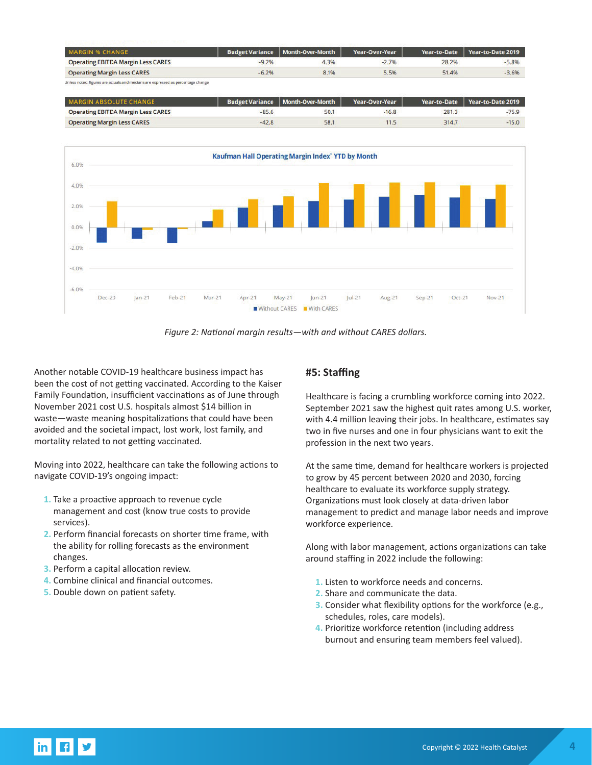| <b>MARGIN % CHANGE</b>                    |         | <b>Budget Variance   Month-Over-Month</b> | Year-Over-Year |       | Year-to-Date Year-to-Date 2019 |
|-------------------------------------------|---------|-------------------------------------------|----------------|-------|--------------------------------|
| <b>Operating EBITDA Margin Less CARES</b> | $-9.2%$ | 4.3%                                      | $-2.7%$        | 28.2% | $-5.8%$                        |
| <b>Operating Margin Less CARES</b>        | $-6.2%$ | 8.1%                                      | 5.5%           | 51.4% | $-3.6%$                        |

| <b>MARGIN ABSOLUTE CHANGE</b>             |         | <b>Budget Variance   Month-Over-Month</b> | Year-Over-Year |       | Year-to-Date Year-to-Date 2019 |
|-------------------------------------------|---------|-------------------------------------------|----------------|-------|--------------------------------|
| <b>Operating EBITDA Margin Less CARES</b> | $-85.6$ |                                           | $-16.8$        | 281.3 | $-75.9$                        |
| <b>Operating Margin Less CARES</b>        | $-42.8$ | 58.                                       |                | 314.7 | $-15.0$                        |



*Figure 2: National margin results—with and without CARES dollars.*

Another notable COVID-19 healthcare business impact has been the cost of not getting vaccinated. According to the Kaiser Family Foundation, insufficient vaccinations as of June through November 2021 cost U.S. hospitals almost \$14 billion in waste—waste meaning hospitalizations that could have been avoided and the societal impact, lost work, lost family, and mortality related to not getting vaccinated.

Moving into 2022, healthcare can take the following actions to navigate COVID-19's ongoing impact:

- **1.** Take a proactive approach to revenue cycle management and cost (know true costs to provide services).
- **2.** Perform financial forecasts on shorter time frame, with the ability for rolling forecasts as the environment changes.
- **3.** Perform a capital allocation review.
- **4.** Combine clinical and financial outcomes.
- **5.** Double down on patient safety.

#### **#5: Staffing**

Healthcare is facing a crumbling workforce coming into 2022. September 2021 saw the highest quit rates among U.S. worker, with 4.4 million leaving their jobs. In healthcare, estimates say two in five nurses and one in four physicians want to exit the profession in the next two years.

At the same time, demand for healthcare workers is projected to grow by 45 percent between 2020 and 2030, forcing healthcare to evaluate its workforce supply strategy. Organizations must look closely at data-driven labor management to predict and manage labor needs and improve workforce experience.

Along with labor management, actions organizations can take around staffing in 2022 include the following:

- **1.** Listen to workforce needs and concerns.
- **2.** Share and communicate the data.
- **3.** Consider what flexibility options for the workforce (e.g., schedules, roles, care models).
- **4.** Prioritize workforce retention (including address burnout and ensuring team members feel valued).